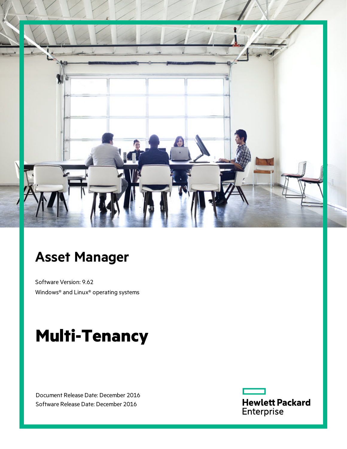

# **Asset Manager**

Software Version: 9.62 Windows® and Linux® operating systems

# **Multi-Tenancy**

Document Release Date: December 2016 Software Release Date: December 2016

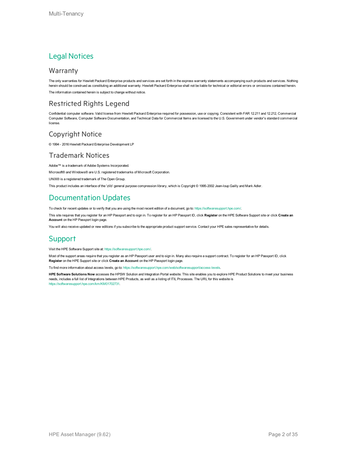#### Legal Notices

#### **Warranty**

The only warranties for Hewlett Packard Enterprise products and services are set forth in the express warranty statements accompanying such products and services. Nothing herein should be construed as constituting an additional warranty. Hewlett Packard Enterprise shall not be liable for technical or editorial errors or omissions contained herein. The information contained herein is subject to change without notice.

#### Restricted Rights Legend

Confidential computer software. Valid license from Hewlett Packard Enterprise required for possession, use or copying. Consistent with FAR 12.211 and 12.212, Commercial Computer Software, Computer Software Documentation, and Technical Data for Commercial Items are licensed to the U.S. Government under vendor's standard commercial license.

#### Copyright Notice

© 1994 - 2016 Hewlett Packard Enterprise Development LP

#### Trademark Notices

Adobe™ is a trademark of Adobe Systems Incorporated.

Microsoft® and Windows® are U.S. registered trademarks of Microsoft Corporation.

UNIX® is a registered trademark of The Open Group.

This product includes an interface of the 'zlib' general purpose compression library, which is Copyright © 1995-2002 Jean-loup Gailly and Mark Adler.

### Documentation Updates

To check for recent updates or to verify that you are using the most recent edition of a document, go to: <https://softwaresupport.hpe.com/>.

This site requires that you register for an HP Passport and to sign in. To register for an HP Passport ID, click **Register** on the HPE Software Support site or click **Create an Account** on the HP Passport login page.

You will also receive updated or new editions if you subscribe to the appropriate product support service. Contact your HPE sales representative for details.

#### Support

Visit the HPE Software Support site at: <https://softwaresupport.hpe.com/>.

Most of the support areas require that you register as an HP Passport user and to sign in. Many also require a support contract. To register for an HP Passport ID, click **Register** on the HPE Support site or click **Create an Account** on the HP Passport login page.

To find more information about access levels, go to: <https://softwaresupport.hpe.com/web/softwaresupport/access-levels>.

**HPE Software Solutions Now** accesses the HPSW Solution and Integration Portal website. This site enables you to explore HPE Product Solutions to meet your business needs, includes a full list of Integrations between HPE Products, as well as a listing of ITIL Processes. The URL for this website is [https://softwaresupport.hpe.com/km/KM01702731.](https://softwaresupport.hpe.com/km/KM01702731)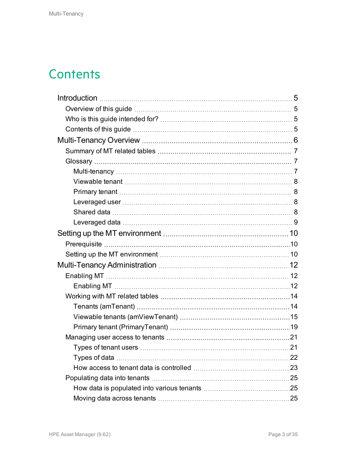## **Contents**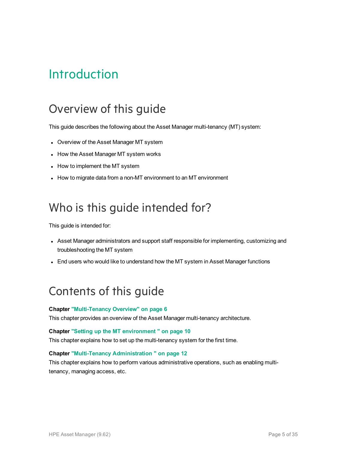# <span id="page-4-0"></span>Introduction

## <span id="page-4-1"></span>Overview of this guide

This guide describes the following about the Asset Manager multi-tenancy (MT) system:

- Overview of the Asset Manager MT system
- How the Asset Manager MT system works
- How to implement the MT system
- How to migrate data from a non-MT environment to an MT environment

## <span id="page-4-2"></span>Who is this guide intended for?

This guide is intended for:

- Asset Manager administrators and support staff responsible for implementing, customizing and troubleshooting the MT system
- End users who would like to understand how the MT system in Asset Manager functions

## <span id="page-4-3"></span>Contents of this guide

#### **Chapter ["Multi-Tenancy](#page-5-0) Overview" on page 6**

This chapter provides an overview of the Asset Manager multi-tenancy architecture.

#### **Chapter "Setting up the MT [environment](#page-9-0) " on page 10**

This chapter explains how to set up the multi-tenancy system for the first time.

#### **Chapter ["Multi-Tenancy](#page-11-0) Administration " on page 12**

This chapter explains how to perform various administrative operations, such as enabling multitenancy, managing access, etc.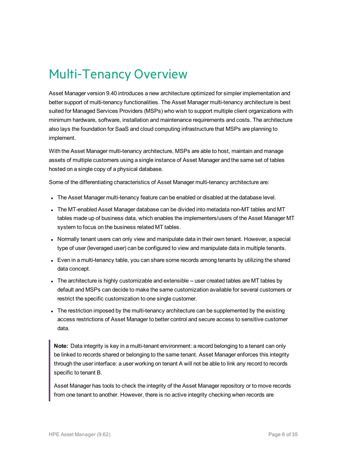# <span id="page-5-0"></span>Multi-Tenancy Overview

Asset Manager version 9.40 introduces a new architecture optimized for simpler implementation and better support of multi-tenancy functionalities. The Asset Manager multi-tenancy architecture is best suited for Managed Services Providers (MSPs) who wish to support multiple client organizations with minimum hardware, software, installation and maintenance requirements and costs. The architecture also lays the foundation for SaaS and cloud computing infrastructure that MSPs are planning to implement.

With the Asset Manager multi-tenancy architecture, MSPs are able to host, maintain and manage assets of multiple customers using a single instance of Asset Manager and the same set of tables hosted on a single copy of a physical database.

Some of the differentiating characteristics of Asset Manager multi-tenancy architecture are:

- The Asset Manager multi-tenancy feature can be enabled or disabled at the database level.
- The MT-enabled Asset Manager database can be divided into metadata non-MT tables and MT tables made up of business data, which enables the implementers/users of the Asset Manager MT system to focus on the business related MT tables.
- Normally tenant users can only view and manipulate data in their own tenant. However, a special type of user (leveraged user) can be configured to view and manipulate data in multiple tenants.
- Even in a multi-tenancy table, you can share some records among tenants by utilizing the shared data concept.
- The architecture is highly customizable and extensible -- user created tables are MT tables by default and MSPs can decide to make the same customization available for several customers or restrict the specific customization to one single customer.
- The restriction imposed by the multi-tenancy architecture can be supplemented by the existing access restrictions of Asset Manager to better control and secure access to sensitive customer data.

**Note:** Data integrity is key in a multi-tenant environment: a record belonging to a tenant can only be linked to records shared or belonging to the same tenant. Asset Manager enforces this integrity through the user interface: a user working on tenant A will not be able to link any record to records specific to tenant B.

Asset Manager has tools to check the integrity of the Asset Manager repository or to move records from one tenant to another. However, there is no active integrity checking when records are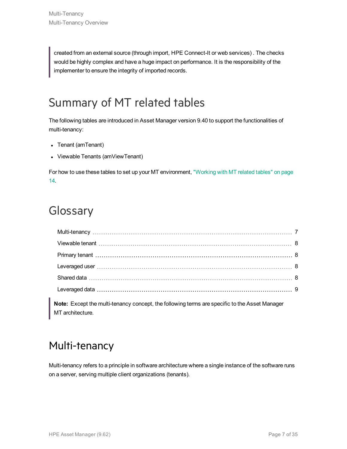created from an external source (through import, HPE Connect-It or web services) . The checks would be highly complex and have a huge impact on performance. It is the responsibility of the implementer to ensure the integrity of imported records.

# <span id="page-6-0"></span>Summary of MT related tables

The following tables are introduced in Asset Manager version 9.40 to support the functionalities of multi-tenancy:

- Tenant (amTenant)
- Viewable Tenants (amViewTenant)

For how to use these tables to set up your MT environment, ["Working](#page-13-0) with MT related tables" on page [14.](#page-13-0)

## <span id="page-6-1"></span>Glossary

| Note: Except the multi-tenancy concept, the following terms are specific to the Asset Manager<br>MT architecture. |  |
|-------------------------------------------------------------------------------------------------------------------|--|

### <span id="page-6-2"></span>Multi-tenancy

Multi-tenancy refers to a principle in software architecture where a single instance of the software runs on a server, serving multiple client organizations (tenants).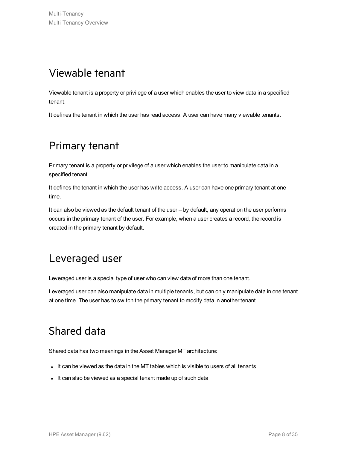## <span id="page-7-0"></span>Viewable tenant

Viewable tenant is a property or privilege of a user which enables the user to view data in a specified tenant.

<span id="page-7-1"></span>It defines the tenant in which the user has read access. A user can have many viewable tenants.

## Primary tenant

Primary tenant is a property or privilege of a user which enables the user to manipulate data in a specified tenant.

It defines the tenant in which the user has write access. A user can have one primary tenant at one time.

It can also be viewed as the default tenant of the user -- by default, any operation the user performs occurs in the primary tenant of the user. For example, when a user creates a record, the record is created in the primary tenant by default.

### <span id="page-7-2"></span>Leveraged user

Leveraged user is a special type of user who can view data of more than one tenant.

<span id="page-7-3"></span>Leveraged user can also manipulate data in multiple tenants, but can only manipulate data in one tenant at one time. The user has to switch the primary tenant to modify data in another tenant.

### Shared data

Shared data has two meanings in the Asset Manager MT architecture:

- It can be viewed as the data in the MT tables which is visible to users of all tenants
- It can also be viewed as a special tenant made up of such data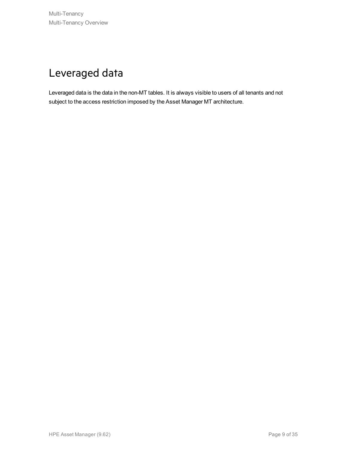## <span id="page-8-0"></span>Leveraged data

Leveraged data is the data in the non-MT tables. It is always visible to users of all tenants and not subject to the access restriction imposed by the Asset Manager MT architecture.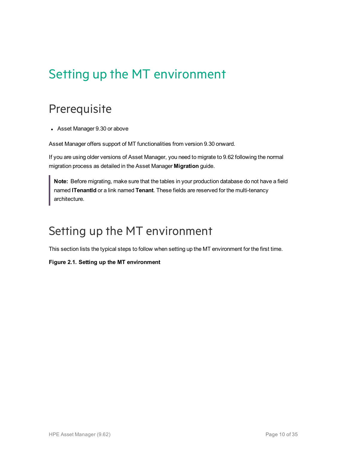# <span id="page-9-0"></span>Setting up the MT environment

## <span id="page-9-1"></span>**Prerequisite**

• Asset Manager 9.30 or above

Asset Manager offers support of MT functionalities from version 9.30 onward.

If you are using older versions of Asset Manager, you need to migrate to 9.62 following the normal migration process as detailed in the Asset Manager **Migration** guide.

**Note:** Before migrating, make sure that the tables in your production database do not have a field named **lTenantId** or a link named **Tenant**. These fields are reserved for the multi-tenancy architecture.

## <span id="page-9-2"></span>Setting up the MT environment

This section lists the typical steps to follow when setting up the MT environment for the first time.

#### **Figure 2.1. Setting up the MT environment**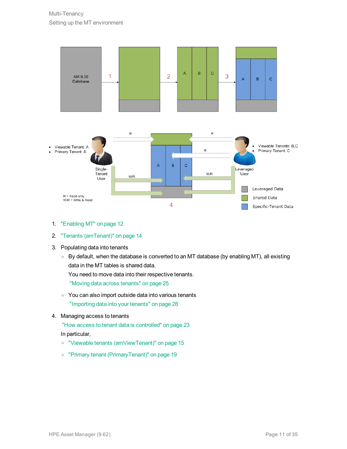

- 1. ["Enabling](#page-11-2) MT" on page 12
- 2. "Tenants [\(amTenant\)"](#page-13-1) on page 14
- 3. Populating data into tenants
	- <sup>o</sup> By default, when the database is converted to an MT database (by enabling MT), all existing data in the MT tables is shared data. You need to move data into their respective tenants. "Moving data across [tenants"](#page-24-2) on page 25
	- <sup>o</sup> You can also import outside data into various tenants ["Importing](#page-27-0) data into your tenants" on page 28
- 4. Managing access to tenants

"How access to tenant data is [controlled"](#page-22-0) on page 23 In particular,

- <sup>o</sup> "Viewable tenants [\(amViewTenant\)"](#page-14-0) on page 15
- <sup>o</sup> "Primary tenant [\(PrimaryTenant\)"](#page-18-0) on page 19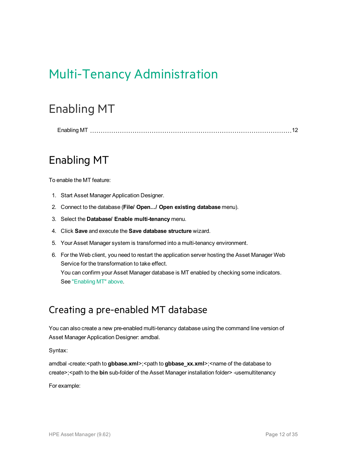# <span id="page-11-0"></span>Multi-Tenancy Administration

## <span id="page-11-1"></span>Enabling MT

<span id="page-11-2"></span>[Enabling](#page-11-2) MT [12](#page-11-2)

## Enabling MT

To enable the MT feature:

- 1. Start Asset Manager Application Designer.
- 2. Connect to the database (**File/ Open.../ Open existing database** menu).
- 3. Select the **Database/ Enable multi-tenancy** menu.
- 4. Click **Save** and execute the **Save database structure** wizard.
- 5. Your Asset Manager system is transformed into a multi-tenancy environment.
- 6. For the Web client, you need to restart the application server hosting the Asset Manager Web Service for the transformation to take effect. You can confirm your Asset Manager database is MT enabled by checking some indicators. See ["Enabling](#page-11-2) MT" above.

### Creating a pre-enabled MT database

You can also create a new pre-enabled multi-tenancy database using the command line version of Asset Manager Application Designer: amdbal.

Syntax:

amdbal -create:<path to **gbbase.xml**>;<path to **gbbase\_xx.xml**>;<name of the database to create>;<path to the **bin** sub-folder of the Asset Manager installation folder> -usemultitenancy

For example: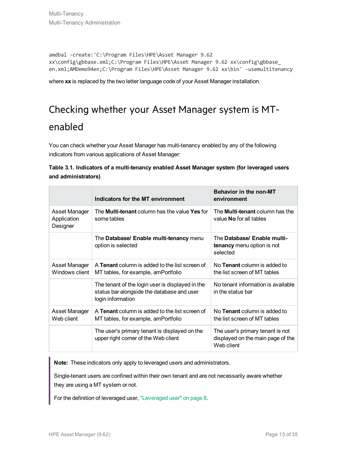```
amdbal -create:'C:\Program Files\HPE\Asset Manager 9.62
xx\config\gbbase.xml;C:\Program Files\HPE\Asset Manager 9.62 xx\config\gbbase_
en.xml;AMDemo94en;C:\Program Files\HPE\Asset Manager 9.62 xx\bin' -usemultitenancy
```
where **xx** is replaced by the two letter language code of your Asset Manager installation.

## Checking whether your Asset Manager system is MTenabled

You can check whether your Asset Manager has multi-tenancy enabled by any of the following indicators from various applications of Asset Manager:

|                     | Table 3.1. Indicators of a multi-tenancy enabled Asset Manager system (for leveraged users |  |  |  |
|---------------------|--------------------------------------------------------------------------------------------|--|--|--|
| and administrators) |                                                                                            |  |  |  |

|                                          | Indicators for the MT environment                                                                                   | <b>Behavior in the non-MT</b><br>environment                                        |
|------------------------------------------|---------------------------------------------------------------------------------------------------------------------|-------------------------------------------------------------------------------------|
| Asset Manager<br>Application<br>Designer | The <b>Multi-tenant</b> column has the value Yes for<br>some tables                                                 | The <b>Multi-tenant</b> column has the<br>value No for all tables                   |
|                                          | The Database/ Enable multi-tenancy menu<br>option is selected                                                       | The Database/ Enable multi-<br>tenancy menu option is not<br>selected               |
| Asset Manager<br>Windows client          | A Tenant column is added to the list screen of<br>MT tables, for example, amPortfolio                               | No <b>Tenant</b> column is added to<br>the list screen of MT tables                 |
|                                          | The tenant of the login user is displayed in the<br>status bar alongside the database and user<br>login information | No tenant information is available<br>in the status bar                             |
| Asset Manager<br>Web client              | A Tenant column is added to the list screen of<br>MT tables, for example, amPortfolio                               | No Tenant column is added to<br>the list screen of MT tables                        |
|                                          | The user's primary tenant is displayed on the<br>upper right corner of the Web client                               | The user's primary tenant is not<br>displayed on the main page of the<br>Web client |

**Note:** These indicators only apply to leveraged users and administrators.

Single-tenant users are confined within their own tenant and are not necessarily aware whether they are using a MT system or not.

For the definition of leveraged user, ["Leveraged](#page-7-2) user" on page 8.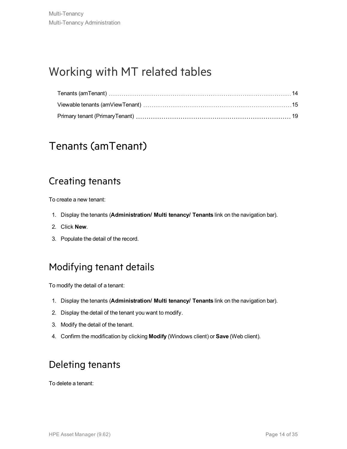## <span id="page-13-0"></span>Working with MT related tables

### <span id="page-13-1"></span>Tenants (amTenant)

### Creating tenants

To create a new tenant:

- 1. Display the tenants (**Administration/ Multi tenancy/ Tenants** link on the navigation bar).
- 2. Click **New**.
- 3. Populate the detail of the record.

### Modifying tenant details

To modify the detail of a tenant:

- 1. Display the tenants (**Administration/ Multi tenancy/ Tenants** link on the navigation bar).
- 2. Display the detail of the tenant you want to modify.
- 3. Modify the detail of the tenant.
- 4. Confirm the modification by clicking **Modify** (Windows client) or **Save** (Web client).

### Deleting tenants

To delete a tenant: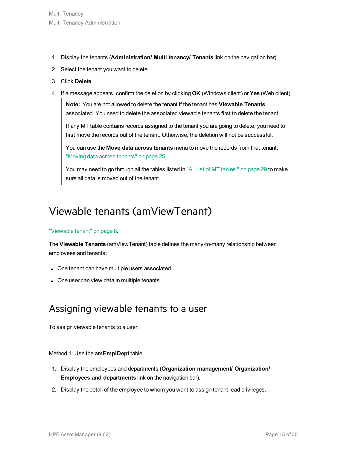- 1. Display the tenants (**Administration/ Multi tenancy/ Tenants** link on the navigation bar).
- 2. Select the tenant you want to delete.
- 3. Click **Delete**.
- 4. If a message appears, confirm the deletion by clicking **OK** (Windows client) or **Yes** (Web client).

**Note:** You are not allowed to delete the tenant if the tenant has **Viewable Tenants** associated. You need to delete the associated viewable tenants first to delete the tenant.

If any MT table contains records assigned to the tenant you are going to delete, you need to first move the records out of the tenant. Otherwise, the deletion will not be successful.

You can use the **Move data across tenants** menu to move the records from that tenant. "Moving data across [tenants"](#page-24-2) on page 25.

You may need to go through all the [tables](#page-28-0) listed in "A. List of MT tables " on page 29 to make sure all data is moved out of the tenant.

### <span id="page-14-0"></span>Viewable tenants (amViewTenant)

#### ["Viewable](#page-7-0) tenant" on page 8.

The **Viewable Tenants** (amViewTenant) table defines the many-to-many relationship between employees and tenants:

- One tenant can have multiple users associated
- One user can view data in multiple tenants

### Assigning viewable tenants to a user

To assign viewable tenants to a user:

#### Method 1: Use the **amEmplDept** table

- 1. Display the employees and departments (**Organization management/ Organization/ Employees and departments** link on the navigation bar).
- 2. Display the detail of the employee to whom you want to assign tenant read privileges.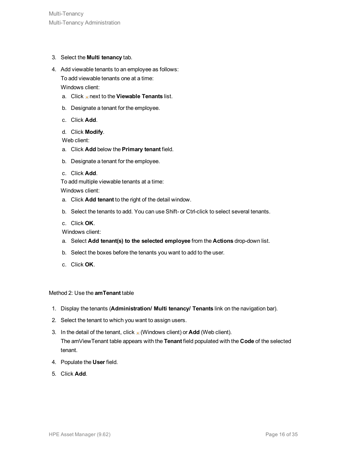- 3. Select the **Multi tenancy** tab.
- 4. Add viewable tenants to an employee as follows: To add viewable tenants one at a time: Windows client:
	- a. Click next to the **Viewable Tenants** list.
	- b. Designate a tenant for the employee.
	- c. Click **Add**.
	- d. Click **Modify**.

Web client:

- a. Click **Add** below the **Primary tenant** field.
- b. Designate a tenant for the employee.
- c. Click **Add**.

To add multiple viewable tenants at a time:

Windows client:

- a. Click **Add tenant** to the right of the detail window.
- b. Select the tenants to add. You can use Shift- or Ctrl-click to select several tenants.
- c. Click **OK**.

Windows client:

- a. Select **Add tenant(s) to the selected employee** from the **Actions** drop-down list.
- b. Select the boxes before the tenants you want to add to the user.
- c. Click **OK**.

#### Method 2: Use the **amTenant** table

- 1. Display the tenants (**Administration/ Multi tenancy/ Tenants** link on the navigation bar).
- 2. Select the tenant to which you want to assign users.
- 3. In the detail of the tenant, click  $\blacksquare$  (Windows client) or **Add** (Web client). The amViewTenant table appears with the **Tenant** field populated with the **Code** of the selected tenant.
- 4. Populate the **User** field.
- 5. Click **Add**.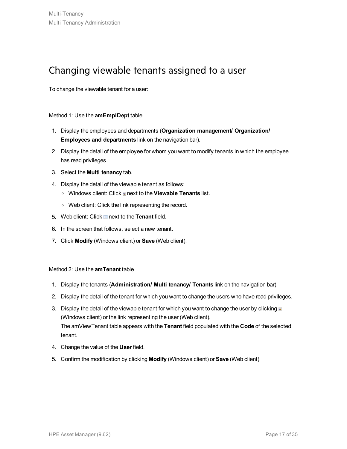### Changing viewable tenants assigned to a user

To change the viewable tenant for a user:

#### Method 1: Use the **amEmplDept** table

- 1. Display the employees and departments (**Organization management/ Organization/ Employees and departments** link on the navigation bar).
- 2. Display the detail of the employee for whom you want to modify tenants in which the employee has read privileges.
- 3. Select the **Multi tenancy** tab.
- 4. Display the detail of the viewable tenant as follows:
	- o Windows client: Click a next to the **Viewable Tenants** list.
	- <sup>o</sup> Web client: Click the link representing the record.
- 5. Web client: Click **next to the Tenant** field.
- 6. In the screen that follows, select a new tenant.
- 7. Click **Modify** (Windows client) or **Save** (Web client).

#### Method 2: Use the **amTenant** table

- 1. Display the tenants (**Administration/ Multi tenancy/ Tenants** link on the navigation bar).
- 2. Display the detail of the tenant for which you want to change the users who have read privileges.
- 3. Display the detail of the viewable tenant for which you want to change the user by clicking  $\blacksquare$ (Windows client) or the link representing the user (Web client). The amViewTenant table appears with the **Tenant** field populated with the **Code** of the selected tenant.
- 4. Change the value of the **User** field.
- 5. Confirm the modification by clicking **Modify** (Windows client) or **Save** (Web client).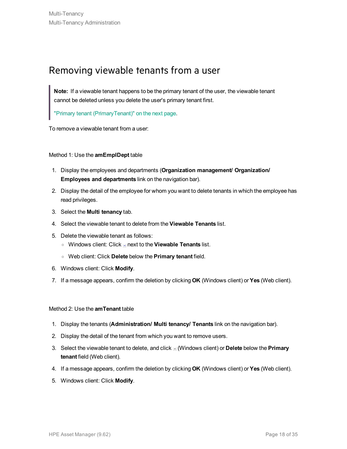### Removing viewable tenants from a user

**Note:** If a viewable tenant happens to be the primary tenant of the user, the viewable tenant cannot be deleted unless you delete the user's primary tenant first.

"Primary tenant [\(PrimaryTenant\)"](#page-18-0) on the next page.

To remove a viewable tenant from a user:

#### Method 1: Use the **amEmplDept** table

- 1. Display the employees and departments (**Organization management/ Organization/ Employees and departments** link on the navigation bar).
- 2. Display the detail of the employee for whom you want to delete tenants in which the employee has read privileges.
- 3. Select the **Multi tenancy** tab.
- 4. Select the viewable tenant to delete from the **Viewable Tenants** list.
- 5. Delete the viewable tenant as follows:
	- <sup>o</sup> Windows client: Click next to the **Viewable Tenants** list.
	- <sup>o</sup> Web client: Click **Delete** below the **Primary tenant** field.
- 6. Windows client: Click **Modify**.
- 7. If a message appears, confirm the deletion by clicking **OK** (Windows client) or **Yes** (Web client).

#### Method 2: Use the **amTenant** table

- 1. Display the tenants (**Administration/ Multi tenancy/ Tenants** link on the navigation bar).
- 2. Display the detail of the tenant from which you want to remove users.
- 3. Select the viewable tenant to delete, and click (Windows client) or **Delete** below the **Primary tenant** field (Web client).
- 4. If a message appears, confirm the deletion by clicking **OK** (Windows client) or **Yes** (Web client).
- 5. Windows client: Click **Modify**.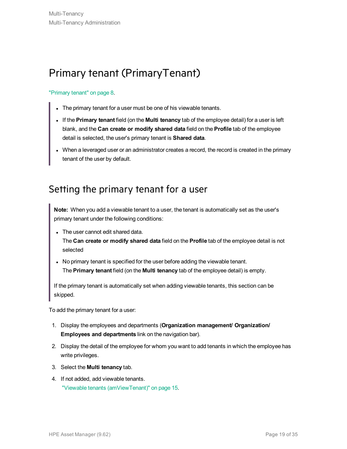## <span id="page-18-0"></span>Primary tenant (PrimaryTenant)

#### ["Primary](#page-7-1) tenant" on page 8.

- The primary tenant for a user must be one of his viewable tenants.
- <sup>l</sup> If the **Primary tenant** field (on the **Multi tenancy** tab of the employee detail) for a user is left blank, and the **Can create or modify shared data** field on the **Profile** tab of the employee detail is selected, the user's primary tenant is **Shared data**.
- When a leveraged user or an administrator creates a record, the record is created in the primary tenant of the user by default.

### Setting the primary tenant for a user

**Note:** When you add a viewable tenant to a user, the tenant is automatically set as the user's primary tenant under the following conditions:

• The user cannot edit shared data.

The **Can create or modify shared data** field on the **Profile** tab of the employee detail is not selected

• No primary tenant is specified for the user before adding the viewable tenant. The **Primary tenant** field (on the **Multi tenancy** tab of the employee detail) is empty.

If the primary tenant is automatically set when adding viewable tenants, this section can be skipped.

To add the primary tenant for a user:

- 1. Display the employees and departments (**Organization management/ Organization/ Employees and departments** link on the navigation bar).
- 2. Display the detail of the employee for whom you want to add tenants in which the employee has write privileges.
- 3. Select the **Multi tenancy** tab.
- 4. If not added, add viewable tenants. "Viewable tenants [\(amViewTenant\)"](#page-14-0) on page 15.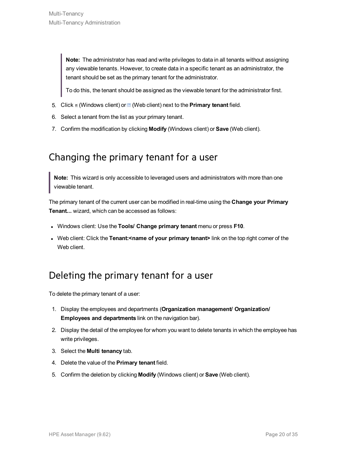**Note:** The administrator has read and write privileges to data in all tenants without assigning any viewable tenants. However, to create data in a specific tenant as an administrator, the tenant should be set as the primary tenant for the administrator.

To do this, the tenant should be assigned as the viewable tenant for the administrator first.

- 5. Click **(Windows client) or (Web client) next to the Primary tenant field.**
- 6. Select a tenant from the list as your primary tenant.
- 7. Confirm the modification by clicking **Modify** (Windows client) or **Save** (Web client).

### Changing the primary tenant for a user

**Note:** This wizard is only accessible to leveraged users and administrators with more than one viewable tenant.

The primary tenant of the current user can be modified in real-time using the **Change your Primary Tenant...** wizard, which can be accessed as follows:

- <sup>l</sup> Windows client: Use the **Tools/ Change primary tenant** menu or press **F10**.
- <sup>l</sup> Web client: Click the **Tenant:<name of your primary tenant>** link on the top right corner of the Web client.

### Deleting the primary tenant for a user

To delete the primary tenant of a user:

- 1. Display the employees and departments (**Organization management/ Organization/ Employees and departments** link on the navigation bar).
- 2. Display the detail of the employee for whom you want to delete tenants in which the employee has write privileges.
- 3. Select the **Multi tenancy** tab.
- 4. Delete the value of the **Primary tenant** field.
- 5. Confirm the deletion by clicking **Modify** (Windows client) or **Save** (Web client).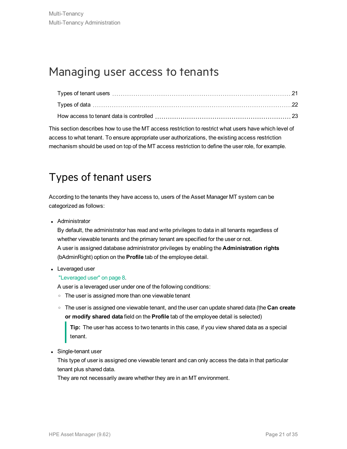## <span id="page-20-0"></span>Managing user access to tenants

This section describes how to use the MT access restriction to restrict what users have which level of access to what tenant. To ensure appropriate user authorizations, the existing access restriction mechanism should be used on top of the MT access restriction to define the user role, for example.

## <span id="page-20-1"></span>Types of tenant users

According to the tenants they have access to, users of the Asset Manager MT system can be categorized as follows:

• Administrator

By default, the administrator has read and write privileges to data in all tenants regardless of whether viewable tenants and the primary tenant are specified for the user or not. A user is assigned database administrator privileges by enabling the **Administration rights** (bAdminRight) option on the **Profile** tab of the employee detail.

• Leveraged user

#### ["Leveraged](#page-7-2) user" on page 8.

A user is a leveraged user under one of the following conditions:

- The user is assigned more than one viewable tenant
- <sup>o</sup> The user is assigned one viewable tenant, and the user can update shared data (the **Can create or modify shared data** field on the **Profile** tab of the employee detail is selected)

**Tip:** The user has access to two tenants in this case, if you view shared data as a special tenant.

• Single-tenant user

This type of user is assigned one viewable tenant and can only access the data in that particular tenant plus shared data.

They are not necessarily aware whether they are in an MT environment.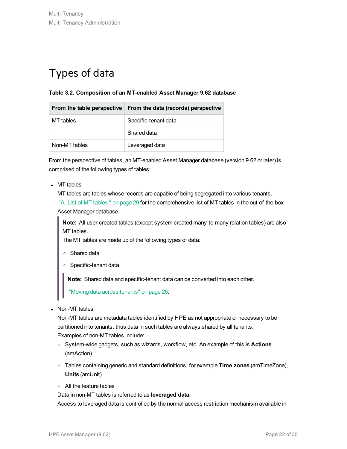## <span id="page-21-0"></span>Types of data

#### **Table 3.2. Composition of an MT-enabled Asset Manager 9.62 database**

| From the table perspective | From the data (records) perspective |
|----------------------------|-------------------------------------|
| MT tables                  | Specific-tenant data                |
|                            | Shared data                         |
| Non-MT tables              | Leveraged data                      |

From the perspective of tables, an MT-enabled Asset Manager database (version 9.62 or later) is comprised of the following types of tables:

 $\bullet$  MT tables

MT tables are tables whose records are capable of being segregated into various tenants.

"A. List of MT [tables](#page-28-0) " on page 29 for the comprehensive list of MT tables in the out-of-the-box Asset Manager database.

**Note:** All user-created tables (except system created many-to-many relation tables) are also MT tables.

The MT tables are made up of the following types of data:

- <sup>o</sup> Shared data
- <sup>o</sup> Specific-tenant data

**Note:** Shared data and specific-tenant data can be converted into each other.

"Moving data across [tenants"](#page-24-2) on page 25.

• Non-MT tables

Non-MT tables are metadata tables identified by HPE as not appropriate or necessary to be partitioned into tenants, thus data in such tables are always shared by all tenants.

Examples of non-MT tables include:

- <sup>o</sup> System-wide gadgets, such as wizards, workflow, etc. An example of this is **Actions** (amAction)
- <sup>o</sup> Tables containing generic and standard definitions, for example **Time zones** (amTimeZone), **Units** (amUnit).
- <sup>o</sup> All the feature tables

Data in non-MT tables is referred to as **leveraged data**.

Access to leveraged data is controlled by the normal access restriction mechanism available in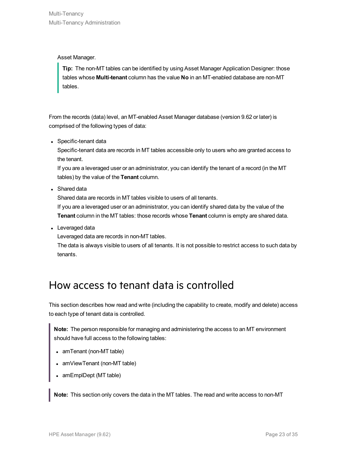Asset Manager.

**Tip:** The non-MT tables can be identified by using Asset Manager Application Designer: those tables whose **Multi-tenant** column has the value **No** in an MT-enabled database are non-MT tables.

From the records (data) level, an MT-enabled Asset Manager database (version 9.62 or later) is comprised of the following types of data:

• Specific-tenant data

Specific-tenant data are records in MT tables accessible only to users who are granted access to the tenant.

If you are a leveraged user or an administrator, you can identify the tenant of a record (in the MT tables) by the value of the **Tenant** column.

• Shared data

Shared data are records in MT tables visible to users of all tenants.

If you are a leveraged user or an administrator, you can identify shared data by the value of the **Tenant** column in the MT tables: those records whose **Tenant** column is empty are shared data.

• Leveraged data

Leveraged data are records in non-MT tables.

<span id="page-22-0"></span>The data is always visible to users of all tenants. It is not possible to restrict access to such data by tenants.

### How access to tenant data is controlled

This section describes how read and write (including the capability to create, modify and delete) access to each type of tenant data is controlled.

**Note:** The person responsible for managing and administering the access to an MT environment should have full access to the following tables:

- amTenant (non-MT table)
- amViewTenant (non-MT table)
- amEmplDept (MT table)

**Note:** This section only covers the data in the MT tables. The read and write access to non-MT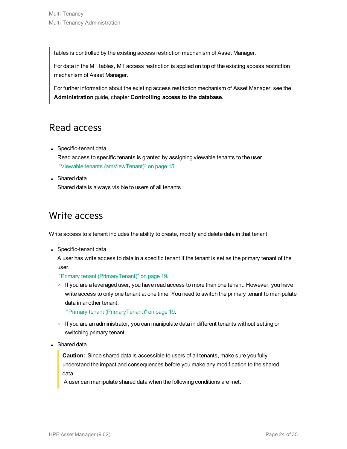tables is controlled by the existing access restriction mechanism of Asset Manager.

For data in the MT tables, MT access restriction is applied on top of the existing access restriction mechanism of Asset Manager.

For further information about the existing access restriction mechanism of Asset Manager, see the **Administration** guide, chapter **Controlling access to the database**.

### Read access

• Specific-tenant data

Read access to specific tenants is granted by assigning viewable tenants to the user. "Viewable tenants [\(amViewTenant\)"](#page-14-0) on page 15.

• Shared data

Shared data is always visible to users of all tenants.

### Write access

Write access to a tenant includes the ability to create, modify and delete data in that tenant.

• Specific-tenant data

A user has write access to data in a specific tenant if the tenant is set as the primary tenant of the user.

"Primary tenant [\(PrimaryTenant\)"](#page-18-0) on page 19.

If you are a leveraged user, you have read access to more than one tenant. However, you have write access to only one tenant at one time. You need to switch the primary tenant to manipulate data in another tenant.

"Primary tenant [\(PrimaryTenant\)"](#page-18-0) on page 19.

- $\circ$  If you are an administrator, you can manipulate data in different tenants without setting or switching primary tenant.
- Shared data

**Caution:** Since shared data is accessible to users of all tenants, make sure you fully understand the impact and consequences before you make any modification to the shared data.

A user can manipulate shared data when the following conditions are met: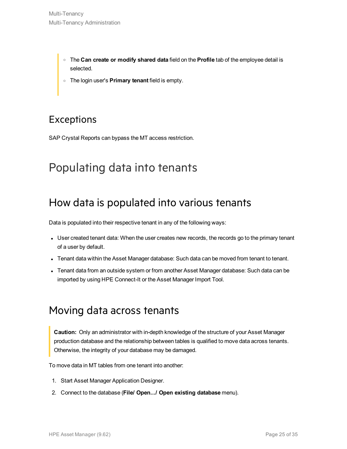- <sup>o</sup> The **Can create or modify shared data** field on the **Profile** tab of the employee detail is selected.
- <sup>o</sup> The login user's **Primary tenant** field is empty.

### Exceptions

SAP Crystal Reports can bypass the MT access restriction.

## <span id="page-24-1"></span><span id="page-24-0"></span>Populating data into tenants

### How data is populated into various tenants

Data is populated into their respective tenant in any of the following ways:

- User created tenant data: When the user creates new records, the records go to the primary tenant of a user by default.
- Tenant data within the Asset Manager database: Such data can be moved from tenant to tenant.
- <span id="page-24-2"></span>• Tenant data from an outside system or from another Asset Manager database: Such data can be imported by using HPE Connect-It or the Asset Manager Import Tool.

### Moving data across tenants

**Caution:** Only an administrator with in-depth knowledge of the structure of your Asset Manager production database and the relationship between tables is qualified to move data across tenants. Otherwise, the integrity of your database may be damaged.

To move data in MT tables from one tenant into another:

- 1. Start Asset Manager Application Designer.
- 2. Connect to the database (**File/ Open.../ Open existing database** menu).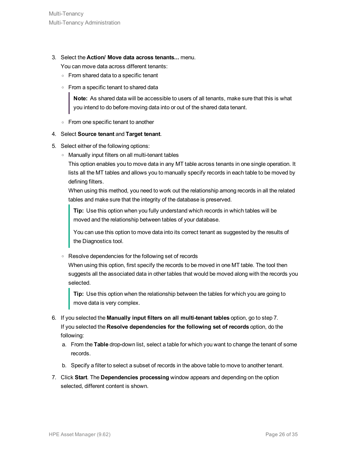3. Select the **Action/ Move data across tenants...** menu.

You can move data across different tenants:

- <sup>o</sup> From shared data to a specific tenant
- <sup>o</sup> From a specific tenant to shared data

**Note:** As shared data will be accessible to users of all tenants, make sure that this is what you intend to do before moving data into or out of the shared data tenant.

<sup>o</sup> From one specific tenant to another

#### 4. Select **Source tenant** and **Target tenant**.

- 5. Select either of the following options:
	- <sup>o</sup> Manually input filters on all multi-tenant tables

This option enables you to move data in any MT table across tenants in one single operation. It lists all the MT tables and allows you to manually specify records in each table to be moved by defining filters.

When using this method, you need to work out the relationship among records in all the related tables and make sure that the integrity of the database is preserved.

**Tip:** Use this option when you fully understand which records in which tables will be moved and the relationship between tables of your database.

You can use this option to move data into its correct tenant as suggested by the results of the Diagnostics tool.

<sup>o</sup> Resolve dependencies for the following set of records

When using this option, first specify the records to be moved in one MT table. The tool then suggests all the associated data in other tables that would be moved along with the records you selected.

**Tip:** Use this option when the relationship between the tables for which you are going to move data is very complex.

- 6. If you selected the **Manually input filters on all multi-tenant tables** option, go to step 7. If you selected the **Resolve dependencies for the following set of records** option, do the following:
	- a. From the **Table** drop-down list, select a table for which you want to change the tenant of some records.
	- b. Specify a filter to select a subset of records in the above table to move to another tenant.
- 7. Click **Start**. The **Dependencies processing** window appears and depending on the option selected, different content is shown.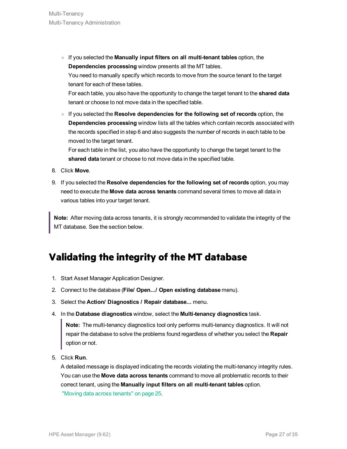<sup>o</sup> If you selected the **Manually input filters on all multi-tenant tables** option, the **Dependencies processing** window presents all the MT tables.

You need to manually specify which records to move from the source tenant to the target tenant for each of these tables.

For each table, you also have the opportunity to change the target tenant to the **shared data** tenant or choose to not move data in the specified table.

<sup>o</sup> If you selected the **Resolve dependencies for the following set of records** option, the **Dependencies processing** window lists all the tables which contain records associated with the records specified in step 6 and also suggests the number of records in each table to be moved to the target tenant.

For each table in the list, you also have the opportunity to change the target tenant to the **shared data** tenant or choose to not move data in the specified table.

- 8. Click **Move**.
- 9. If you selected the **Resolve dependencies for the following set of records** option, you may need to execute the **Move data across tenants** command several times to move all data in various tables into your target tenant.

**Note:** After moving data across tenants, it is strongly recommended to validate the integrity of the MT database. See the section below.

### <span id="page-26-0"></span>**Validating the integrity of the MT database**

- 1. Start Asset Manager Application Designer.
- 2. Connect to the database (**File/ Open.../ Open existing database** menu).
- 3. Select the **Action/ Diagnostics / Repair database...** menu.
- 4. In the **Database diagnostics** window, select the **Multi-tenancy diagnostics** task.

**Note:** The multi-tenancy diagnostics tool only performs multi-tenancy diagnostics. It will not repair the database to solve the problems found regardless of whether you select the **Repair** option or not.

5. Click **Run**.

A detailed message is displayed indicating the records violating the multi-tenancy integrity rules. You can use the **Move data across tenants** command to move all problematic records to their correct tenant, using the **Manually input filters on all multi-tenant tables** option. "Moving data across [tenants"](#page-24-2) on page 25.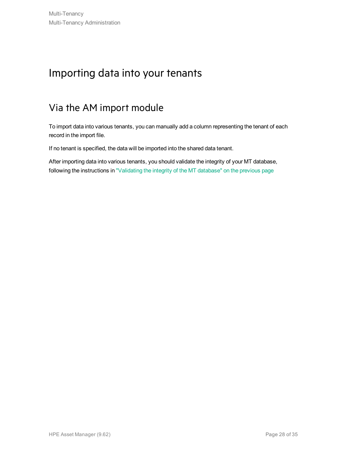## <span id="page-27-0"></span>Importing data into your tenants

### Via the AM import module

To import data into various tenants, you can manually add a column representing the tenant of each record in the import file.

If no tenant is specified, the data will be imported into the shared data tenant.

After importing data into various tenants, you should validate the integrity of your MT database, following the instructions in ["Validating](#page-26-0) the integrity of the MT database" on the previous page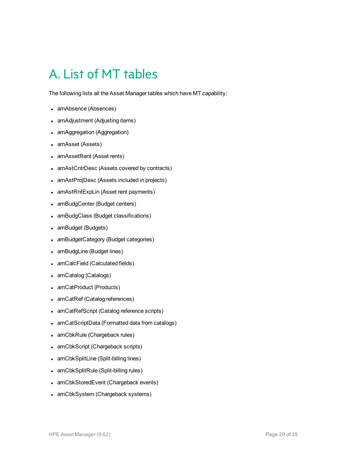# <span id="page-28-0"></span>A. List of MT tables

The following lists all the Asset Manager tables which have MT capability:

- amAbsence (Absences)
- amAdjustment (Adjusting items)
- amAggregation (Aggregation)
- amAsset (Assets)
- amAssetRent (Asset rents)
- amAstCntrDesc (Assets covered by contracts)
- amAstProjDesc (Assets included in projects)
- amAstRntExpLin (Asset rent payments)
- amBudgCenter (Budget centers)
- amBudgClass (Budget classifications)
- amBudget (Budgets)
- amBudgetCategory (Budget categories)
- amBudgLine (Budget lines)
- amCalcField (Calculated fields)
- amCatalog (Catalogs)
- amCatProduct (Products)
- amCatRef (Catalog references)
- amCatRefScript (Catalog reference scripts)
- amCatScriptData (Formatted data from catalogs)
- amCbkRule (Chargeback rules)
- amCbkScript (Chargeback scripts)
- amCbkSplitLine (Split-billing lines)
- amCbkSplitRule (Split-billing rules)
- amCbkStoredEvent (Chargeback events)
- amCbkSystem (Chargeback systems)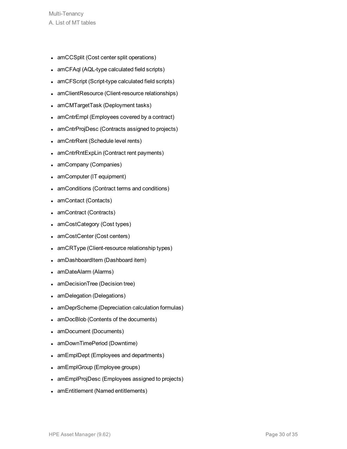- amCCSplit (Cost center split operations)
- amCFAql (AQL-type calculated field scripts)
- amCFScript (Script-type calculated field scripts)
- amClientResource (Client-resource relationships)
- amCMTargetTask (Deployment tasks)
- amCntrEmpl (Employees covered by a contract)
- amCntrProjDesc (Contracts assigned to projects)
- amCntrRent (Schedule level rents)
- amCntrRntExpLin (Contract rent payments)
- amCompany (Companies)
- amComputer (IT equipment)
- amConditions (Contract terms and conditions)
- amContact (Contacts)
- amContract (Contracts)
- amCostCategory (Cost types)
- amCostCenter (Cost centers)
- amCRType (Client-resource relationship types)
- amDashboardItem (Dashboard item)
- amDateAlarm (Alarms)
- amDecisionTree (Decision tree)
- amDelegation (Delegations)
- amDeprScheme (Depreciation calculation formulas)
- amDocBlob (Contents of the documents)
- amDocument (Documents)
- amDownTimePeriod (Downtime)
- amEmplDept (Employees and departments)
- amEmplGroup (Employee groups)
- amEmplProjDesc (Employees assigned to projects)
- amEntitlement (Named entitlements)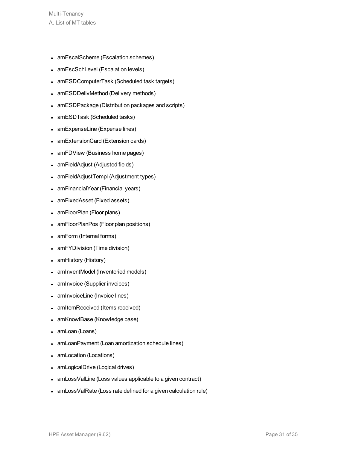- amEscalScheme (Escalation schemes)
- amEscSchLevel (Escalation levels)
- amESDComputerTask (Scheduled task targets)
- amESDDelivMethod (Delivery methods)
- amESDPackage (Distribution packages and scripts)
- amESDTask (Scheduled tasks)
- amExpenseLine (Expense lines)
- amExtensionCard (Extension cards)
- amFDView (Business home pages)
- amFieldAdjust (Adjusted fields)
- amFieldAdjustTempl (Adjustment types)
- amFinancialYear (Financial years)
- amFixedAsset (Fixed assets)
- amFloorPlan (Floor plans)
- amFloorPlanPos (Floor plan positions)
- amForm (Internal forms)
- amFYDivision (Time division)
- amHistory (History)
- amInventModel (Inventoried models)
- amInvoice (Supplier invoices)
- amInvoiceLine (Invoice lines)
- amItemReceived (Items received)
- amKnowlBase (Knowledge base)
- amLoan (Loans)
- amLoanPayment (Loan amortization schedule lines)
- amLocation (Locations)
- amLogicalDrive (Logical drives)
- amLossValLine (Loss values applicable to a given contract)
- amLossValRate (Loss rate defined for a given calculation rule)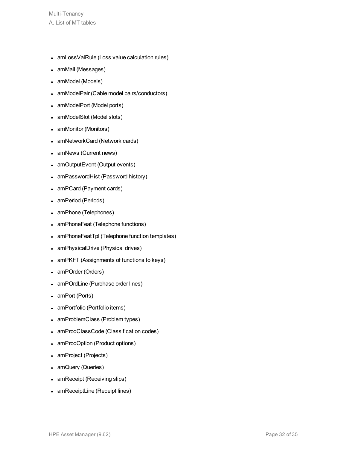- amLossValRule (Loss value calculation rules)
- amMail (Messages)
- amModel (Models)
- amModelPair (Cable model pairs/conductors)
- amModelPort (Model ports)
- amModelSlot (Model slots)
- amMonitor (Monitors)
- amNetworkCard (Network cards)
- amNews (Current news)
- amOutputEvent (Output events)
- amPasswordHist (Password history)
- amPCard (Payment cards)
- amPeriod (Periods)
- amPhone (Telephones)
- amPhoneFeat (Telephone functions)
- amPhoneFeatTpl (Telephone function templates)
- amPhysicalDrive (Physical drives)
- amPKFT (Assignments of functions to keys)
- amPOrder (Orders)
- amPOrdLine (Purchase order lines)
- $\bullet$  amPort (Ports)
- amPortfolio (Portfolio items)
- amProblemClass (Problem types)
- amProdClassCode (Classification codes)
- amProdOption (Product options)
- amProject (Projects)
- amQuery (Queries)
- amReceipt (Receiving slips)
- amReceiptLine (Receipt lines)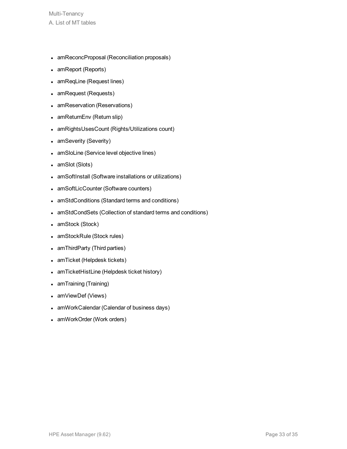- amReconcProposal (Reconciliation proposals)
- amReport (Reports)
- amReqLine (Request lines)
- amRequest (Requests)
- amReservation (Reservations)
- amReturnEnv (Return slip)
- amRightsUsesCount (Rights/Utilizations count)
- amSeverity (Severity)
- amSloLine (Service level objective lines)
- amSlot (Slots)
- amSoftInstall (Software installations or utilizations)
- amSoftLicCounter (Software counters)
- amStdConditions (Standard terms and conditions)
- amStdCondSets (Collection of standard terms and conditions)
- amStock (Stock)
- amStockRule (Stock rules)
- amThirdParty (Third parties)
- amTicket (Helpdesk tickets)
- amTicketHistLine (Helpdesk ticket history)
- amTraining (Training)
- amViewDef (Views)
- amWorkCalendar (Calendar of business days)
- amWorkOrder (Work orders)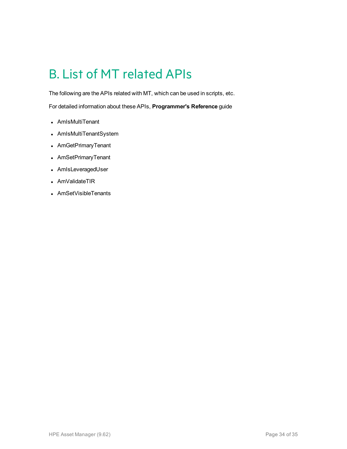# <span id="page-33-0"></span>B. List of MT related APIs

The following are the APIs related with MT, which can be used in scripts, etc.

For detailed information about these APIs, **Programmer's Reference** guide

- AmIsMultiTenant
- AmIsMultiTenantSystem
- AmGetPrimaryTenant
- AmSetPrimaryTenant
- AmIsLeveragedUser
- AmValidateTIR
- AmSetVisibleTenants